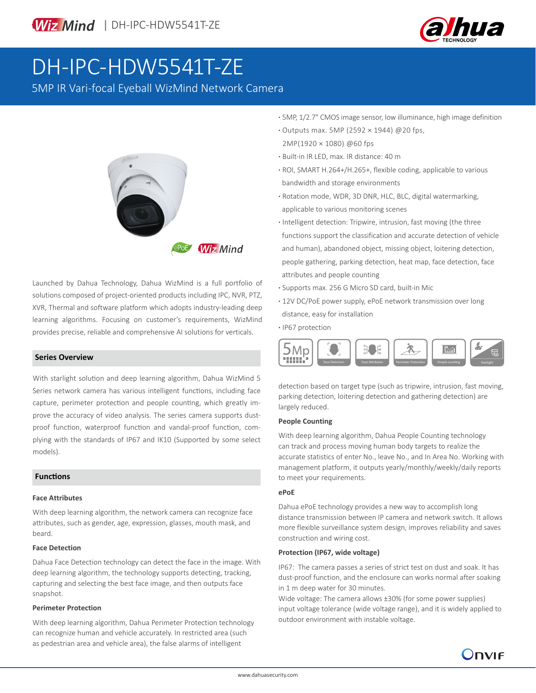

# DH-IPC-HDW5541T-ZE

5MP IR Vari-focal Eyeball WizMind Network Camera



Launched by Dahua Technology, Dahua WizMind is a full portfolio of solutions composed of project-oriented products including IPC, NVR, PTZ, XVR, Thermal and software platform which adopts industry-leading deep learning algorithms. Focusing on customer's requirements, WizMind provides precise, reliable and comprehensive AI solutions for verticals.

With starlight solution and deep learning algorithm, Dahua WizMind 5 Series network camera has various intelligent functions, including face capture, perimeter protection and people counting, which greatly improve the accuracy of video analysis. The series camera supports dustproof function, waterproof function and vandal-proof function, complying with the standards of IP67 and IK10 (Supported by some select models).

#### **Functions**

#### **Face Attributes**

With deep learning algorithm, the network camera can recognize face attributes, such as gender, age, expression, glasses, mouth mask, and beard.

#### **Face Detection**

Dahua Face Detection technology can detect the face in the image. With deep learning algorithm, the technology supports detecting, tracking, capturing and selecting the best face image, and then outputs face snapshot.

#### **Perimeter Protection**

With deep learning algorithm, Dahua Perimeter Protection technology can recognize human and vehicle accurately. In restricted area (such as pedestrian area and vehicle area), the false alarms of intelligent

- **·** 5MP, 1/2.7" CMOS image sensor, low illuminance, high image definition
- **·** Outputs max. 5MP (2592 × 1944) @20 fps, 2MP(1920 × 1080) @60 fps
- **·** Built-in IR LED, max. IR distance: 40 m
- **·** ROI, SMART H.264+/H.265+, flexible coding, applicable to various bandwidth and storage environments
- **·** Rotation mode, WDR, 3D DNR, HLC, BLC, digital watermarking, applicable to various monitoring scenes
- **·** Intelligent detection: Tripwire, intrusion, fast moving (the three functions support the classification and accurate detection of vehicle and human), abandoned object, missing object, loitering detection, people gathering, parking detection, heat map, face detection, face attributes and people counting
- **·** Supports max. 256 G Micro SD card, built-in Mic
- **·** 12V DC/PoE power supply, ePoE network transmission over long distance, easy for installation
- **·** IP67 protection



detection based on target type (such as tripwire, intrusion, fast moving, parking detection, loitering detection and gathering detection) are largely reduced.

#### **People Counting**

With deep learning algorithm, Dahua People Counting technology can track and process moving human body targets to realize the accurate statistics of enter No., leave No., and In Area No. Working with management platform, it outputs yearly/monthly/weekly/daily reports to meet your requirements.

#### **ePoE**

Dahua ePoE technology provides a new way to accomplish long distance transmission between IP camera and network switch. It allows more flexible surveillance system design, improves reliability and saves construction and wiring cost.

#### **Protection (IP67, wide voltage)**

IP67: The camera passes a series of strict test on dust and soak. It has dust-proof function, and the enclosure can works normal after soaking in 1 m deep water for 30 minutes.

Wide voltage: The camera allows ±30% (for some power supplies) input voltage tolerance (wide voltage range), and it is widely applied to outdoor environment with instable voltage.

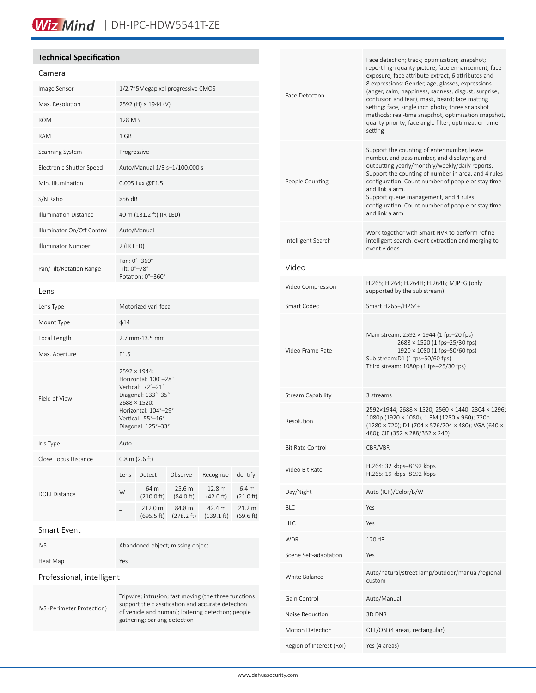## Wiz Mind | DH-IPC-HDW5541T-ZE

#### **Technical Specification**

### Camera

| Canierd                      |                                                                                                                                                                                                  |                                  |                                   |                      |                                         |
|------------------------------|--------------------------------------------------------------------------------------------------------------------------------------------------------------------------------------------------|----------------------------------|-----------------------------------|----------------------|-----------------------------------------|
| Image Sensor                 |                                                                                                                                                                                                  |                                  | 1/2.7"5Megapixel progressive CMOS |                      |                                         |
| Max. Resolution              | 2592 (H) × 1944 (V)                                                                                                                                                                              |                                  |                                   |                      |                                         |
| <b>ROM</b>                   | 128 MB                                                                                                                                                                                           |                                  |                                   |                      |                                         |
| <b>RAM</b>                   | $1$ GB                                                                                                                                                                                           |                                  |                                   |                      |                                         |
| Scanning System              | Progressive                                                                                                                                                                                      |                                  |                                   |                      |                                         |
| Electronic Shutter Speed     | Auto/Manual 1/3 s-1/100,000 s                                                                                                                                                                    |                                  |                                   |                      |                                         |
| Min. Illumination            | 0.005 Lux @F1.5                                                                                                                                                                                  |                                  |                                   |                      |                                         |
| S/N Ratio                    | $>56$ dB                                                                                                                                                                                         |                                  |                                   |                      |                                         |
| <b>Illumination Distance</b> | 40 m (131.2 ft) (IR LED)                                                                                                                                                                         |                                  |                                   |                      |                                         |
| Illuminator On/Off Control   | Auto/Manual                                                                                                                                                                                      |                                  |                                   |                      |                                         |
| <b>Illuminator Number</b>    | $2$ (IR LED)                                                                                                                                                                                     |                                  |                                   |                      |                                         |
| Pan/Tilt/Rotation Range      | Pan: 0°-360°<br>Tilt: 0°-78°<br>Rotation: 0°-360°                                                                                                                                                |                                  |                                   |                      |                                         |
| Lens                         |                                                                                                                                                                                                  |                                  |                                   |                      |                                         |
| Lens Type                    | Motorized vari-focal                                                                                                                                                                             |                                  |                                   |                      |                                         |
| Mount Type                   | $\phi$ 14                                                                                                                                                                                        |                                  |                                   |                      |                                         |
| Focal Length                 | 2.7 mm-13.5 mm                                                                                                                                                                                   |                                  |                                   |                      |                                         |
| Max. Aperture                | F1.5                                                                                                                                                                                             |                                  |                                   |                      |                                         |
| Field of View                | 2592 × 1944:<br>Horizontal: 100°-28°<br>Vertical: 72°-21°<br>Diagonal: 133°-35°<br>$2688 \times 1520$ :<br>Horizontal: 104°-29°<br>Vertical: 55°-16°<br>Diagonal: 125°-33°                       |                                  |                                   |                      |                                         |
| Iris Type                    | Auto                                                                                                                                                                                             |                                  |                                   |                      |                                         |
| Close Focus Distance         | $0.8 \text{ m}$ (2.6 ft)                                                                                                                                                                         |                                  |                                   |                      |                                         |
|                              | Lens                                                                                                                                                                                             | Detect                           | Observe                           | Recognize            | Identify                                |
| <b>DORI Distance</b>         | W                                                                                                                                                                                                | 64 m<br>$(210.0 \text{ ft})$     | 25.6 m<br>(84.0 ft)               | 12.8 m<br>(42.0 ft)  | 6.4 <sub>m</sub><br>$(21.0 \text{ ft})$ |
|                              | Τ                                                                                                                                                                                                | 212.0 m<br>(695.5 ft)            | 84.8 m<br>(278.2 ft)              | 42.4 m<br>(139.1 ft) | 21.2 m<br>(69.6 ft)                     |
| <b>Smart Event</b>           |                                                                                                                                                                                                  |                                  |                                   |                      |                                         |
| <b>IVS</b>                   |                                                                                                                                                                                                  | Abandoned object; missing object |                                   |                      |                                         |
| Heat Map                     | Yes                                                                                                                                                                                              |                                  |                                   |                      |                                         |
| Professional, intelligent    |                                                                                                                                                                                                  |                                  |                                   |                      |                                         |
| IVS (Perimeter Protection)   | Tripwire; intrusion; fast moving (the three functions<br>support the classification and accurate detection<br>of vehicle and human); loitering detection; people<br>gathering; parking detection |                                  |                                   |                      |                                         |

| Face Detection           | Face detection; track; optimization; snapshot;<br>report high quality picture; face enhancement; face<br>exposure; face attribute extract, 6 attributes and<br>8 expressions: Gender, age, glasses, expressions<br>(anger, calm, happiness, sadness, disgust, surprise,<br>confusion and fear), mask, beard; face matting<br>setting: face, single inch photo; three snapshot<br>methods: real-time snapshot, optimization snapshot,<br>quality priority; face angle filter; optimization time<br>setting |
|--------------------------|-----------------------------------------------------------------------------------------------------------------------------------------------------------------------------------------------------------------------------------------------------------------------------------------------------------------------------------------------------------------------------------------------------------------------------------------------------------------------------------------------------------|
| People Counting          | Support the counting of enter number, leave<br>number, and pass number, and displaying and<br>outputting yearly/monthly/weekly/daily reports.<br>Support the counting of number in area, and 4 rules<br>configuration. Count number of people or stay time<br>and link alarm.<br>Support queue management, and 4 rules<br>configuration. Count number of people or stay time<br>and link alarm                                                                                                            |
| Intelligent Search       | Work together with Smart NVR to perform refine<br>intelligent search, event extraction and merging to<br>event videos                                                                                                                                                                                                                                                                                                                                                                                     |
| Video                    |                                                                                                                                                                                                                                                                                                                                                                                                                                                                                                           |
| Video Compression        | H.265; H.264; H.264H; H.264B; MJPEG (only<br>supported by the sub stream)                                                                                                                                                                                                                                                                                                                                                                                                                                 |
| Smart Codec              | Smart H265+/H264+                                                                                                                                                                                                                                                                                                                                                                                                                                                                                         |
| Video Frame Rate         | Main stream: 2592 × 1944 (1 fps-20 fps)<br>2688 × 1520 (1 fps-25/30 fps)<br>1920 × 1080 (1 fps-50/60 fps)<br>Sub stream:D1 (1 fps-50/60 fps)<br>Third stream: 1080p (1 fps-25/30 fps)                                                                                                                                                                                                                                                                                                                     |
| Stream Capability        | 3 streams                                                                                                                                                                                                                                                                                                                                                                                                                                                                                                 |
| Resolution               | 2592×1944; 2688 × 1520; 2560 × 1440; 2304 × 1296;<br>1080p (1920 × 1080); 1.3M (1280 × 960); 720p<br>(1280 × 720); D1 (704 × 576/704 × 480); VGA (640 ×<br>480); CIF (352 × 288/352 × 240)                                                                                                                                                                                                                                                                                                                |
| <b>Bit Rate Control</b>  | CBR/VBR                                                                                                                                                                                                                                                                                                                                                                                                                                                                                                   |
| Video Bit Rate           | H.264: 32 kbps-8192 kbps<br>H.265: 19 kbps-8192 kbps                                                                                                                                                                                                                                                                                                                                                                                                                                                      |
| Day/Night                | Auto (ICR)/Color/B/W                                                                                                                                                                                                                                                                                                                                                                                                                                                                                      |
| <b>BLC</b>               | Yes                                                                                                                                                                                                                                                                                                                                                                                                                                                                                                       |
| <b>HLC</b>               | Yes                                                                                                                                                                                                                                                                                                                                                                                                                                                                                                       |
| <b>WDR</b>               | 120 dB                                                                                                                                                                                                                                                                                                                                                                                                                                                                                                    |
| Scene Self-adaptation    | Yes                                                                                                                                                                                                                                                                                                                                                                                                                                                                                                       |
| White Balance            | Auto/natural/street lamp/outdoor/manual/regional<br>custom                                                                                                                                                                                                                                                                                                                                                                                                                                                |
| Gain Control             | Auto/Manual                                                                                                                                                                                                                                                                                                                                                                                                                                                                                               |
| Noise Reduction          | 3D DNR                                                                                                                                                                                                                                                                                                                                                                                                                                                                                                    |
| Motion Detection         | OFF/ON (4 areas, rectangular)                                                                                                                                                                                                                                                                                                                                                                                                                                                                             |
| Region of Interest (RoI) | Yes (4 areas)                                                                                                                                                                                                                                                                                                                                                                                                                                                                                             |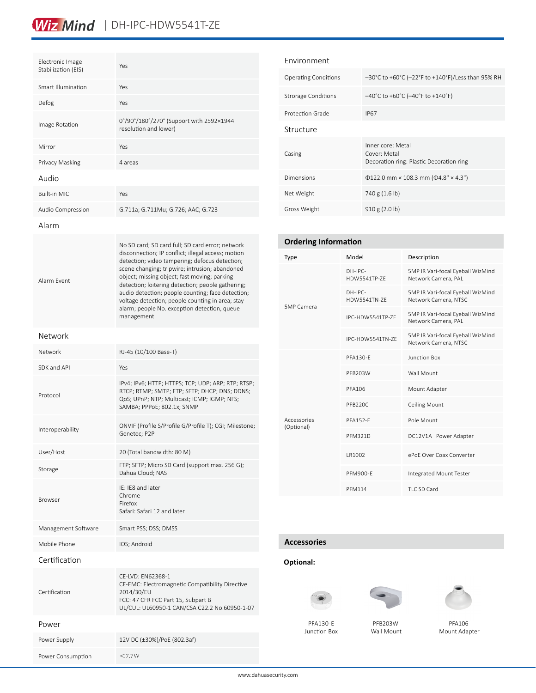### Wiz Mind | DH-IPC-HDW5541T-ZE

| Electronic Image<br>Stabilization (EIS) | Yes                                                                                                                                                                                                                                                                                                                                                                                                                                                                                    |
|-----------------------------------------|----------------------------------------------------------------------------------------------------------------------------------------------------------------------------------------------------------------------------------------------------------------------------------------------------------------------------------------------------------------------------------------------------------------------------------------------------------------------------------------|
| Smart Illumination                      | Yes                                                                                                                                                                                                                                                                                                                                                                                                                                                                                    |
| Defog                                   | Yes                                                                                                                                                                                                                                                                                                                                                                                                                                                                                    |
| Image Rotation                          | 0°/90°/180°/270° (Support with 2592×1944<br>resolution and lower)                                                                                                                                                                                                                                                                                                                                                                                                                      |
| Mirror                                  | Yes                                                                                                                                                                                                                                                                                                                                                                                                                                                                                    |
| Privacy Masking                         | 4 areas                                                                                                                                                                                                                                                                                                                                                                                                                                                                                |
| Audio                                   |                                                                                                                                                                                                                                                                                                                                                                                                                                                                                        |
| <b>Built-in MIC</b>                     | Yes                                                                                                                                                                                                                                                                                                                                                                                                                                                                                    |
| Audio Compression                       | G.711a; G.711Mu; G.726; AAC; G.723                                                                                                                                                                                                                                                                                                                                                                                                                                                     |
| Alarm                                   |                                                                                                                                                                                                                                                                                                                                                                                                                                                                                        |
| Alarm Fvent                             | No SD card; SD card full; SD card error; network<br>disconnection; IP conflict; illegal access; motion<br>detection; video tampering; defocus detection;<br>scene changing; tripwire; intrusion; abandoned<br>object; missing object; fast moving; parking<br>detection; loitering detection; people gathering;<br>audio detection; people counting; face detection;<br>voltage detection; people counting in area; stay<br>alarm; people No. exception detection, queue<br>management |
| Network                                 |                                                                                                                                                                                                                                                                                                                                                                                                                                                                                        |
| Network                                 | RJ-45 (10/100 Base-T)                                                                                                                                                                                                                                                                                                                                                                                                                                                                  |
| SDK and API                             | Yes                                                                                                                                                                                                                                                                                                                                                                                                                                                                                    |
| Protocol                                | IPv4; IPv6; HTTP; HTTPS; TCP; UDP; ARP; RTP; RTSP;<br>RTCP; RTMP; SMTP; FTP; SFTP; DHCP; DNS; DDNS;<br>QoS; UPnP; NTP; Multicast; ICMP; IGMP; NFS;<br>SAMBA; PPPoE; 802.1x; SNMP                                                                                                                                                                                                                                                                                                       |
| Interoperability                        | ONVIF (Profile S/Profile G/Profile T); CGI; Milestone;<br>Genetec; P2P                                                                                                                                                                                                                                                                                                                                                                                                                 |
| User/Host                               | 20 (Total bandwidth: 80 M)                                                                                                                                                                                                                                                                                                                                                                                                                                                             |
| Storage                                 | FTP; SFTP; Micro SD Card (support max. 256 G);<br>Dahua Cloud; NAS                                                                                                                                                                                                                                                                                                                                                                                                                     |
| <b>Browser</b>                          | IE: IE8 and later<br>Chrome<br>Firefox<br>Safari: Safari 12 and later                                                                                                                                                                                                                                                                                                                                                                                                                  |
| Management Software                     | Smart PSS; DSS; DMSS                                                                                                                                                                                                                                                                                                                                                                                                                                                                   |
| Mobile Phone                            | IOS; Android                                                                                                                                                                                                                                                                                                                                                                                                                                                                           |
| Certification                           |                                                                                                                                                                                                                                                                                                                                                                                                                                                                                        |
| Certification                           | CE-LVD: EN62368-1<br>CE-EMC: Electromagnetic Compatibility Directive<br>2014/30/EU<br>FCC: 47 CFR FCC Part 15, Subpart B<br>UL/CUL: UL60950-1 CAN/CSA C22.2 No.60950-1-07                                                                                                                                                                                                                                                                                                              |
| Power                                   |                                                                                                                                                                                                                                                                                                                                                                                                                                                                                        |
| Power Supply                            | 12V DC (±30%)/PoE (802.3af)                                                                                                                                                                                                                                                                                                                                                                                                                                                            |
| Power Consumption                       | $<$ 7.7W                                                                                                                                                                                                                                                                                                                                                                                                                                                                               |

| Fnvironment                 |                                                                               |
|-----------------------------|-------------------------------------------------------------------------------|
| <b>Operating Conditions</b> | $-30^{\circ}$ C to +60°C (-22°F to +140°F)/Less than 95% RH                   |
| Strorage Conditions         | $-40^{\circ}$ C to +60 $^{\circ}$ C (-40 $^{\circ}$ F to +140 $^{\circ}$ F)   |
| Protection Grade            | <b>IP67</b>                                                                   |
| Structure                   |                                                                               |
| Casing                      | Inner core: Metal<br>Cover: Metal<br>Decoration ring: Plastic Decoration ring |
| Dimensions                  | $\Phi$ 122.0 mm × 108.3 mm ( $\Phi$ 4.8" × 4.3")                              |
| Net Weight                  | 740 g (1.6 lb)                                                                |
| Gross Weight                | 910 g (2.0 lb)                                                                |

| <b>Ordering Information</b> |                                  |                                                           |  |  |
|-----------------------------|----------------------------------|-----------------------------------------------------------|--|--|
| Type                        | Model                            | Description                                               |  |  |
| 5MP Camera                  | $DH-IPC-$<br><b>HDW5541TP-7F</b> | 5MP IR Vari-focal Eyeball WizMind<br>Network Camera, PAL  |  |  |
|                             | $DH-IPC-$<br>HDW5541TN-7F        | 5MP IR Vari-focal Eyeball WizMind<br>Network Camera, NTSC |  |  |
|                             | IPC-HDW5541TP-7F                 | 5MP IR Vari-focal Eyeball WizMind<br>Network Camera, PAL  |  |  |
|                             | IPC-HDW5541TN-7F                 | 5MP IR Vari-focal Eyeball WizMind<br>Network Camera, NTSC |  |  |
| Accessories<br>(Optional)   | PFA130-F                         | Junction Box                                              |  |  |
|                             | PFB203W                          | Wall Mount                                                |  |  |
|                             | <b>PFA106</b>                    | Mount Adapter                                             |  |  |
|                             | PFB220C                          | <b>Ceiling Mount</b>                                      |  |  |
|                             | <b>PFA152-F</b>                  | Pole Mount                                                |  |  |
|                             | <b>PFM321D</b>                   | DC12V1A Power Adapter                                     |  |  |
|                             | LR1002                           | ePoF Over Coax Converter                                  |  |  |
|                             | PFM900-F                         | Integrated Mount Tester                                   |  |  |
|                             | <b>PFM114</b>                    | TLC SD Card                                               |  |  |

#### **Accessories**

#### **Optional:**







PFA130-E Junction Box

PFB203W Wall Mount

PFA106 Mount Adapter